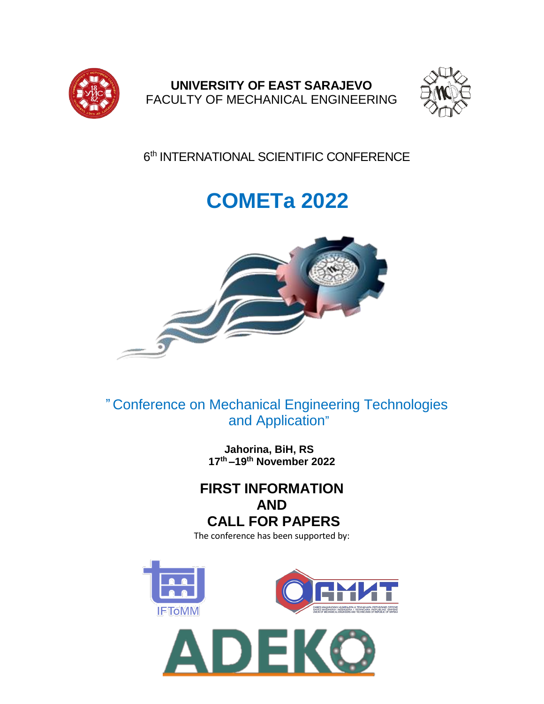

**UNIVERSITY OF EAST SARAJEVO** FACULTY OF MECHANICAL ENGINEERING



6<sup>th</sup> INTERNATIONAL SCIENTIFIC CONFERENCE

# **COMETa 2022**



" Conference on Mechanical Engineering Technologies and Application"

> **Jahorina, BiH, RS 17 th –19th November 2022**

## **FIRST INFORMATION AND CALL FOR PAPERS** The conference has been supported by:



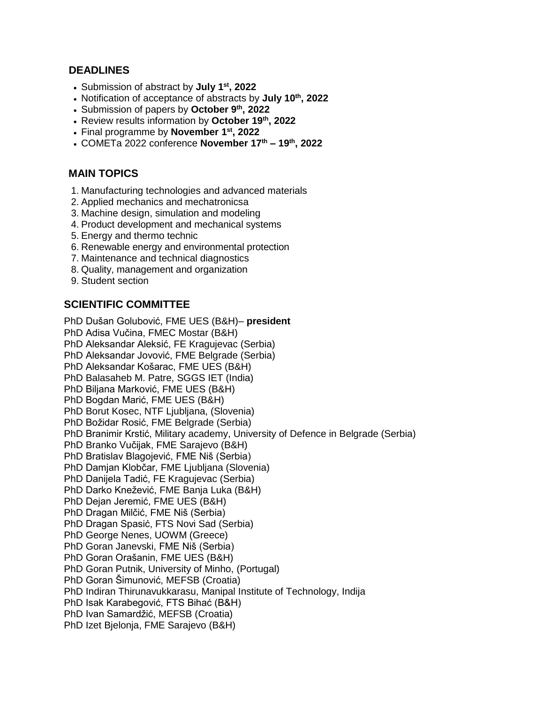#### **DEADLINES**

- Submission of abstract by **July 1st, 2022**
- Notification of acceptance of abstracts by **July 10th, 2022**
- Submission of papers by **October 9th, 2022**
- Review results information by **October 19th, 2022**
- Final programme by **November 1st, 2022**
- COMETa 2022 conference **November 17th – 19th, 2022**

#### **MAIN TOPICS**

- 1. Manufacturing technologies and advanced materials
- 2. Applied mechanics and mechatronicsa
- 3. Machine design, simulation and modeling
- 4. Product development and mechanical systems
- 5. Energy and thermo technic
- 6. Renewable energy and environmental protection
- 7. Maintenance and technical diagnostics
- 8. Quality, management and organization
- 9. Student section

### **SCIENTIFIC COMMITTEE**

PhD Dušan Golubović, FME UES (B&H)– **president** PhD Adisa Vučina, FMEC Mostar (B&H) PhD Aleksandar Aleksić, FE Kragujevac (Serbia) PhD Aleksandar Jovović, FME Belgrade (Serbia) PhD Aleksandar Košarac, FME UES (B&H) PhD Balasaheb M. Patre, SGGS IET (India) PhD Bilјana Marković, FME UES (B&H) PhD Bogdan Marić, FME UES (B&H) PhD Borut Kosec, NTF Ljubljana, (Slovenia) PhD Božidar Rosić, FME Belgrade (Serbia) PhD Branimir Krstić, Military academy, University of Defence in Belgrade (Serbia) PhD Branko Vučijak, FME Sarajevo (B&H) PhD Bratislav Blagojević, FME Niš (Serbia) PhD Damjan Klobčar, FME Ljubljana (Slovenia) PhD Danijela Tadić, FE Kragujevac (Serbia) PhD Darko Knežević, FME Banja Luka (B&H) PhD Dejan Jeremić, FME UES (B&H) PhD Dragan Milčić, FME Niš (Serbia) PhD Dragan Spasić, FTS Novi Sad (Serbia) PhD George Nenes, UOWM (Greece) PhD Goran Janevski, FME Niš (Serbia) PhD Goran Orašanin, FME UES (B&H) PhD Goran Putnik, University of Minho, (Portugal) PhD Goran Šimunović, MEFSB (Croatia) PhD Indiran Thirunavukkarasu, Manipal Institute of Technology, Indija PhD Isak Karabegović, FTS Bihać (B&H) PhD Ivan Samardžić, MEFSB (Croatia) PhD Izet Bjelonja, FME Sarajevo (B&H)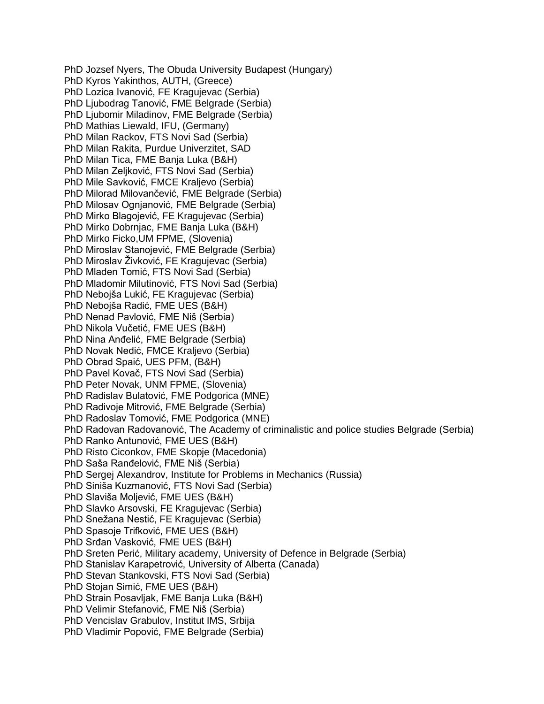PhD Jozsef Nyers, The Obuda University Budapest (Hungary) PhD Kyros Yakinthos, AUTH, (Greece) PhD Lozica Ivanović, FE Kragujevac (Serbia) PhD Ljubodrag Tanović, FME Belgrade (Serbia) PhD Ljubomir Miladinov, FME Belgrade (Serbia) PhD Mathias Liewald, IFU, (Germany) PhD Milan Rackov, FTS Novi Sad (Serbia) PhD Milan Rakita, Purdue Univerzitet, SAD PhD Milan Tica, FME Banja Luka (B&H) PhD Milan Zelјković, FTS Novi Sad (Serbia) PhD Mile Savković, FMCE Kraljevo (Serbia) PhD Milorad Milovančević, FME Belgrade (Serbia) PhD Milosav Ognjanović, FME Belgrade (Serbia) PhD Mirko Blagojević, FE Kragujevac (Serbia) PhD Mirko Dobrnjac, FME Banja Luka (B&H) PhD Mirko Ficko,UM FPME, (Slovenia) PhD Miroslav Stanojević, FME Belgrade (Serbia) PhD Miroslav Živković, FE Kragujevac (Serbia) PhD Mladen Tomić, FTS Novi Sad (Serbia) PhD Mladomir Milutinović, FTS Novi Sad (Serbia) PhD Nebojša Lukić, FE Kragujevac (Serbia) PhD Nebojša Radić, FME UES (B&H) PhD Nenad Pavlović, FME Niš (Serbia) PhD Nikola Vučetić, FME UES (B&H) PhD Nina Anđelić, FME Belgrade (Serbia) PhD Novak Nedić, FMCE Kraljevo (Serbia) PhD Obrad Spaić, UES PFM, (B&H) PhD Pavel Kovač, FTS Novi Sad (Serbia) PhD Peter Novak, UNM FPME, (Slovenia) PhD Radislav Bulatović, FME Podgorica (MNE) PhD Radivoje Mitrović, FME Belgrade (Serbia) PhD Radoslav Tomović, FME Podgorica (MNE) PhD Radovan Radovanović, The Academy of criminalistic and police studies Belgrade (Serbia) PhD Ranko Antunović, FME UES (B&H) PhD Risto Ciconkov, FME Skopje (Macedonia) PhD Saša Ranđelović, FME Niš (Serbia) PhD Sergej Alexandrov, Institute for Problems in Mechanics (Russia) PhD Siniša Kuzmanović, FTS Novi Sad (Serbia) PhD Slaviša Molјević, FME UES (B&H) PhD Slavko Arsovski, FE Kragujevac (Serbia) PhD Snežana Nestić, FE Kragujevac (Serbia) PhD Spasoje Trifković, FME UES (B&H) PhD Srđan Vasković, FME UES (B&H) PhD Sreten Perić, Military academy, University of Defence in Belgrade (Serbia) PhD Stanislav Karapetrović, University of Alberta (Canada) PhD Stevan Stankovski, FTS Novi Sad (Serbia) PhD Stojan Simić, FME UES (B&H) PhD Strain Posavlјak, FME Banja Luka (B&H) PhD Velimir Stefanović, FME Niš (Serbia) PhD Vencislav Grabulov, Institut IMS, Srbija PhD Vladimir Popović, FME Belgrade (Serbia)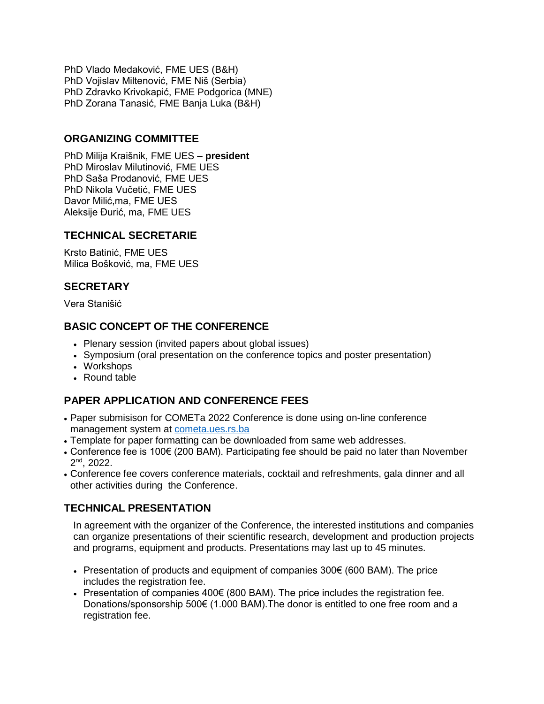PhD Vlado Medaković, FME UES (B&H) PhD Vojislav Miltenović, FME Niš (Serbia) PhD Zdravko Krivokapić, FME Podgorica (MNE) PhD Zorana Tanasić, FME Banja Luka (B&H)

#### **ORGANIZING COMMITTEE**

PhD Milija Kraišnik, FME UES – **president** PhD Miroslav Milutinović, FME UES PhD Saša Prodanović, FME UES PhD Nikola Vučetić, FME UES Davor Milić,ma, FME UES Aleksije Đurić, ma, FME UES

#### **TECHNICAL SECRETARIE**

Krsto Batinić, FME UES Milica Bošković, ma, FME UES

### **SECRETARY**

Vera Stanišić

#### **BASIC CONCEPT OF THE CONFERENCE**

- Plenary session (invited papers about global issues)
- Symposium (oral presentation on the conference topics and poster presentation)
- Workshops
- Round table

### **PAPER APPLICATION AND CONFERENCE FEES**

- Paper submisison for COMETa 2022 Conference is done using on-line conference management system at [cometa.ues.rs.ba](http://cometa.ues.rs.ba/)
- Template for paper formatting can be downloaded from same web addresses.
- Conference fee is 100€ (200 BAM). Participating fee should be paid no later than November 2<sup>nd</sup>, 2022.
- Conference fee covers conference materials, cocktail and refreshments, gala dinner and all other activities during the Conference.

#### **TECHNICAL PRESENTATION**

In agreement with the organizer of the Conference, the interested institutions and companies can organize presentations of their scientific research, development and production projects and programs, equipment and products. Presentations may last up to 45 minutes.

- Presentation of products and equipment of companies  $300 \in (600 \text{ BAM})$ . The price includes the registration fee.
- Presentation of companies 400€ (800 BAM). The price includes the registration fee. Donations/sponsorship 500€ (1.000 BAM).The donor is entitled to one free room and a registration fee.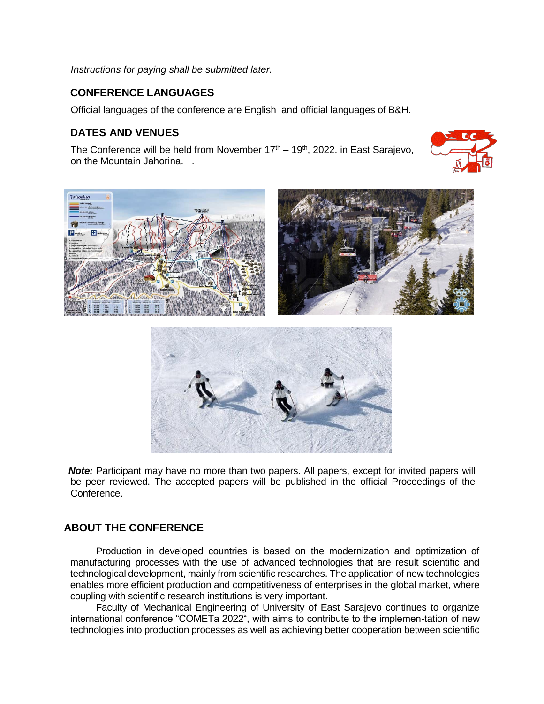*Instructions for paying shall be submitted later.*

#### **CONFERENCE LANGUAGES**

Official languages of the conference are English and official languages of B&H.

#### **DATES AND VENUES**

The Conference will be held from November  $17<sup>th</sup> - 19<sup>th</sup>$ , 2022. in East Sarajevo, on the Mountain Jahorina. .







*Note:* Participant may have no more than two papers. All papers, except for invited papers will be peer reviewed. The accepted papers will be published in the official Proceedings of the Conference.

#### **ABOUT THE CONFERENCE**

Production in developed countries is based on the modernization and optimization of manufacturing processes with the use of advanced technologies that are result scientific and technological development, mainly from scientific researches. The application of new technologies enables more efficient production and competitiveness of enterprises in the global market, where coupling with scientific research institutions is very important.

Faculty of Mechanical Engineering of University of East Sarajevo continues to organize international conference "COMETa 2022", with aims to contribute to the implemen-tation of new technologies into production processes as well as achieving better cooperation between scientific